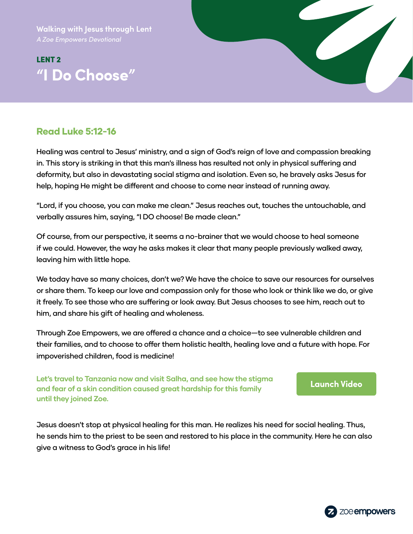**Walking with Jesus through Lent**

# LENT 2 **"I Do Choose"**



# Read Luke 5:12-16

Healing was central to Jesus' ministry, and a sign of God's reign of love and compassion breaking in. This story is striking in that this man's illness has resulted not only in physical suffering and deformity, but also in devastating social stigma and isolation. Even so, he bravely asks Jesus for help, hoping He might be different and choose to come near instead of running away.

"Lord, if you choose, you can make me clean." Jesus reaches out, touches the untouchable, and verbally assures him, saying, "I DO choose! Be made clean."

Of course, from our perspective, it seems a no-brainer that we would choose to heal someone if we could. However, the way he asks makes it clear that many people previously walked away, leaving him with little hope.

We today have so many choices, don't we? We have the choice to save our resources for ourselves or share them. To keep our love and compassion only for those who look or think like we do, or give it freely. To see those who are suffering or look away. But Jesus chooses to see him, reach out to him, and share his gift of healing and wholeness.

Through Zoe Empowers, we are offered a chance and a choice—to see vulnerable children and their families, and to choose to offer them holistic health, healing love and a future with hope. For impoverished children, food is medicine!

**Let's travel to Tanzania now and visit Salha, and see how the stigma and fear of a skin condition caused great hardship for this family until they joined Zoe.**

#### **[Launch Video](https://zmpw.rs/Salha)**

Jesus doesn't stop at physical healing for this man. He realizes his need for social healing. Thus, he sends him to the priest to be seen and restored to his place in the community. Here he can also give a witness to God's grace in his life!